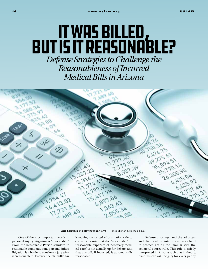## It Was Billed, But Is It Reasonable? *Defense Strategies to Challenge the Reasonableness of Incurred Medical Bills in Arizona*



Erica Spurlock and Matthew Baltierra Jones, Skelton & Hochuli, P.L.C.

One of the most important words in personal injury litigation is "reasonable." From the Reasonable Person standard to reasonable compensation, personal injury litigation is a battle to convince a jury what is "reasonable." However, the plaintiffs' bar

is making concerted efforts nationwide to convince courts that the "reasonable" in "reasonable expenses of necessary medical care" is not actually up for debate, and that any bill, if incurred, is automatically reasonable.

Defense attorneys, and the adjusters and clients whose interests we work hard to protect, are all too familiar with the collateral source rule. This rule is strictly interpreted in Arizona such that in theory, plaintiffs can ask the jury for every penny